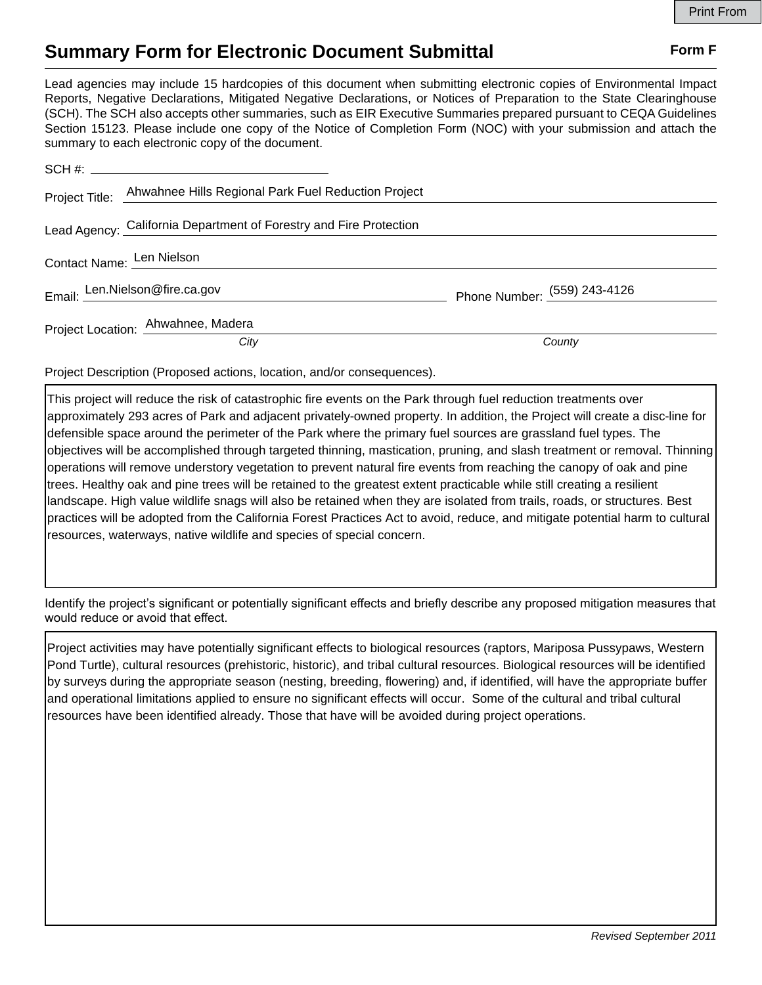## **Summary Form for Electronic Document Submittal Form F Form F**

Lead agencies may include 15 hardcopies of this document when submitting electronic copies of Environmental Impact Reports, Negative Declarations, Mitigated Negative Declarations, or Notices of Preparation to the State Clearinghouse (SCH). The SCH also accepts other summaries, such as EIR Executive Summaries prepared pursuant to CEQA Guidelines Section 15123. Please include one copy of the Notice of Completion Form (NOC) with your submission and attach the summary to each electronic copy of the document.

|                           | Project Title: Ahwahnee Hills Regional Park Fuel Reduction Project |                              |
|---------------------------|--------------------------------------------------------------------|------------------------------|
|                           | Lead Agency: California Department of Forestry and Fire Protection |                              |
| Contact Name: Len Nielson |                                                                    |                              |
|                           | Email: Len.Nielson@fire.ca.gov                                     | Phone Number: (559) 243-4126 |
|                           | Project Location: Ahwahnee, Madera                                 |                              |
|                           | City                                                               | County                       |

Project Description (Proposed actions, location, and/or consequences).

This project will reduce the risk of catastrophic fire events on the Park through fuel reduction treatments over approximately 293 acres of Park and adjacent privately‐owned property. In addition, the Project will create a disc‐line for defensible space around the perimeter of the Park where the primary fuel sources are grassland fuel types. The objectives will be accomplished through targeted thinning, mastication, pruning, and slash treatment or removal. Thinning operations will remove understory vegetation to prevent natural fire events from reaching the canopy of oak and pine trees. Healthy oak and pine trees will be retained to the greatest extent practicable while still creating a resilient landscape. High value wildlife snags will also be retained when they are isolated from trails, roads, or structures. Best practices will be adopted from the California Forest Practices Act to avoid, reduce, and mitigate potential harm to cultural resources, waterways, native wildlife and species of special concern.

Identify the project's significant or potentially significant effects and briefly describe any proposed mitigation measures that would reduce or avoid that effect.

Project activities may have potentially significant effects to biological resources (raptors, Mariposa Pussypaws, Western Pond Turtle), cultural resources (prehistoric, historic), and tribal cultural resources. Biological resources will be identified by surveys during the appropriate season (nesting, breeding, flowering) and, if identified, will have the appropriate buffer and operational limitations applied to ensure no significant effects will occur. Some of the cultural and tribal cultural resources have been identified already. Those that have will be avoided during project operations.